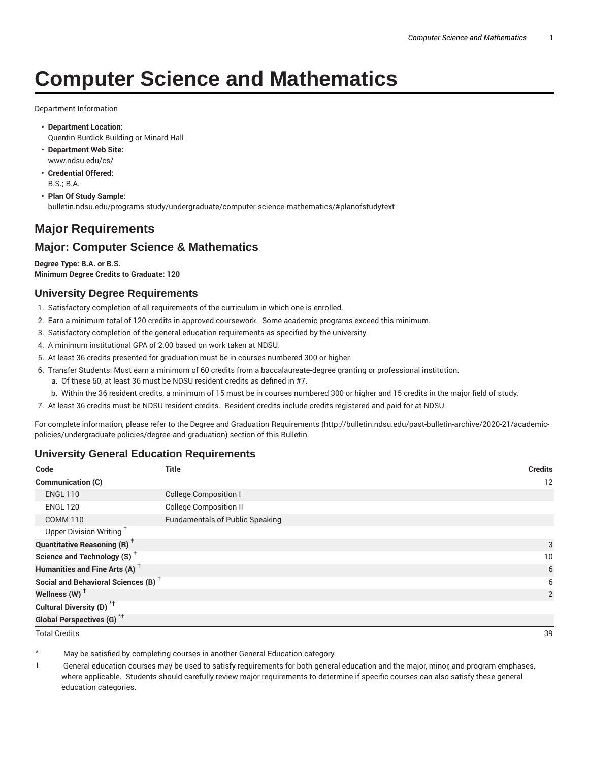# **Computer Science and Mathematics**

Department Information

- **Department Location:** Quentin Burdick Building or Minard Hall
- **Department Web Site:** www.ndsu.edu/cs/
- **Credential Offered:** B.S.; B.A.
- **Plan Of Study Sample:** bulletin.ndsu.edu/programs-study/undergraduate/computer-science-mathematics/#planofstudytext

# **Major Requirements**

# **Major: Computer Science & Mathematics**

**Degree Type: B.A. or B.S. Minimum Degree Credits to Graduate: 120**

## **University Degree Requirements**

- 1. Satisfactory completion of all requirements of the curriculum in which one is enrolled.
- 2. Earn a minimum total of 120 credits in approved coursework. Some academic programs exceed this minimum.
- 3. Satisfactory completion of the general education requirements as specified by the university.
- 4. A minimum institutional GPA of 2.00 based on work taken at NDSU.
- 5. At least 36 credits presented for graduation must be in courses numbered 300 or higher.
- 6. Transfer Students: Must earn a minimum of 60 credits from a baccalaureate-degree granting or professional institution.
	- a. Of these 60, at least 36 must be NDSU resident credits as defined in #7.
	- b. Within the 36 resident credits, a minimum of 15 must be in courses numbered 300 or higher and 15 credits in the major field of study.
- 7. At least 36 credits must be NDSU resident credits. Resident credits include credits registered and paid for at NDSU.

For complete information, please refer to the Degree and Graduation Requirements (http://bulletin.ndsu.edu/past-bulletin-archive/2020-21/academicpolicies/undergraduate-policies/degree-and-graduation) section of this Bulletin.

#### **University General Education Requirements**

| Code                                            | <b>Title</b>                           | <b>Credits</b> |
|-------------------------------------------------|----------------------------------------|----------------|
| <b>Communication (C)</b>                        |                                        | 12             |
| <b>ENGL 110</b>                                 | <b>College Composition I</b>           |                |
| <b>ENGL 120</b>                                 | <b>College Composition II</b>          |                |
| <b>COMM 110</b>                                 | <b>Fundamentals of Public Speaking</b> |                |
| Upper Division Writing <sup>+</sup>             |                                        |                |
| <b>Quantitative Reasoning (R)</b> <sup>†</sup>  |                                        | 3              |
| Science and Technology (S) <sup>+</sup>         |                                        | 10             |
| Humanities and Fine Arts (A) <sup>+</sup>       |                                        | 6              |
| Social and Behavioral Sciences (B) <sup>+</sup> |                                        | 6              |
| Wellness $(W)$ <sup>+</sup>                     |                                        | 2              |
| Cultural Diversity (D) <sup>*†</sup>            |                                        |                |
| Global Perspectives (G) <sup>*†</sup>           |                                        |                |

Total Credits 39

May be satisfied by completing courses in another General Education category.

† General education courses may be used to satisfy requirements for both general education and the major, minor, and program emphases, where applicable. Students should carefully review major requirements to determine if specific courses can also satisfy these general education categories.